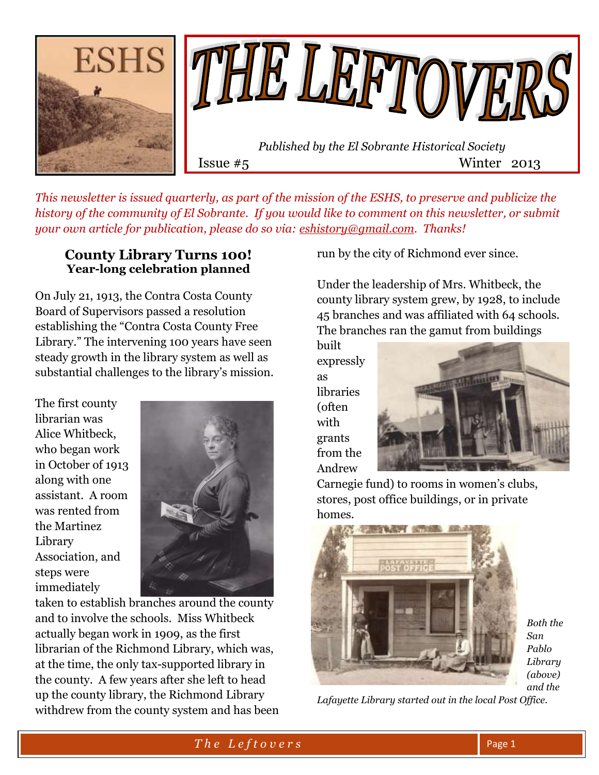

*This newsletter is issued quarterly, as part of the mission of the ESHS, to preserve and publicize the history of the community of El Sobrante. If you would like to comment on this newsletter, or submit your own article for publication, please do so via: [eshistory@gmail.com.](mailto:eshistory@gmail.com) Thanks!*

#### **County Library Turns 100! Year-long celebration planned**

On July 21, 1913, the Contra Costa County Board of Supervisors passed a resolution establishing the "Contra Costa County Free Library." The intervening 100 years have seen steady growth in the library system as well as substantial challenges to the library's mission.

The first county librarian was Alice Whitbeck, who began work in October of 1913 along with one assistant. A room was rented from the Martinez Library Association, and steps were immediately



taken to establish branches around the county and to involve the schools. Miss Whitbeck actually began work in 1909, as the first librarian of the Richmond Library, which was, at the time, the only tax-supported library in the county. A few years after she left to head up the county library, the Richmond Library withdrew from the county system and has been run by the city of Richmond ever since.

Under the leadership of Mrs. Whitbeck, the county library system grew, by 1928, to include 45 branches and was affiliated with 64 schools. The branches ran the gamut from buildings

built expressly as libraries (often with grants from the Andrew



Carnegie fund) to rooms in women's clubs, stores, post office buildings, or in private homes.



*Both the San Pablo Library (above) and the* 

*Lafayette Library started out in the local Post Office.*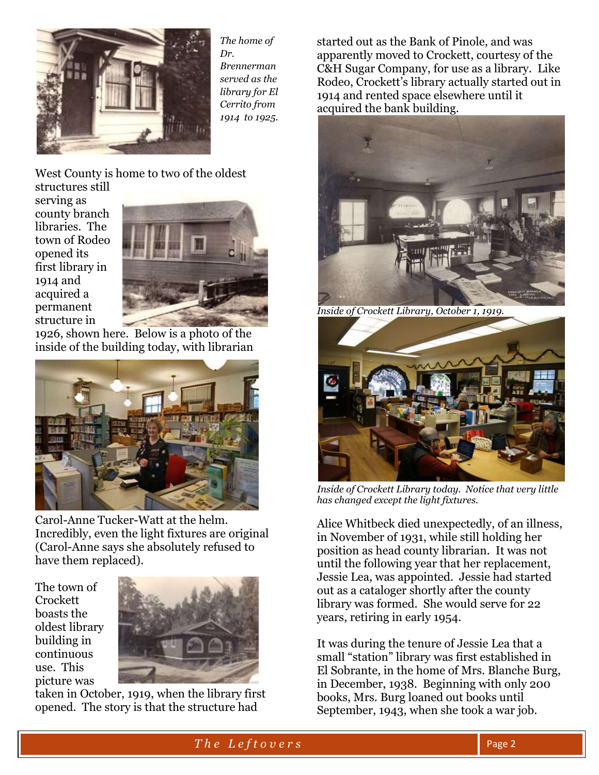

*The home of Dr. Brennerman served as the library for El Cerrito from 1914 to 1925.*

West County is home to two of the oldest structures still

serving as county branch libraries. The town of Rodeo opened its first library in 1914 and acquired a permanent structure in



1926, shown here. Below is a photo of the inside of the building today, with librarian



Carol-Anne Tucker-Watt at the helm. Incredibly, even the light fixtures are original (Carol-Anne says she absolutely refused to have them replaced).

The town of Crockett boasts the oldest library building in continuous use. This picture was



taken in October, 1919, when the library first opened. The story is that the structure had

started out as the Bank of Pinole, and was apparently moved to Crockett, courtesy of the C&H Sugar Company, for use as a library. Like Rodeo, Crockett's library actually started out in 1914 and rented space elsewhere until it acquired the bank building.



*Inside of Crockett Library, October 1, 1919.*



*Inside of Crockett Library today. Notice that very little has changed except the light fixtures.*

Alice Whitbeck died unexpectedly, of an illness, in November of 1931, while still holding her position as head county librarian. It was not until the following year that her replacement, Jessie Lea, was appointed. Jessie had started out as a cataloger shortly after the county library was formed. She would serve for 22 years, retiring in early 1954.

It was during the tenure of Jessie Lea that a small "station" library was first established in El Sobrante, in the home of Mrs. Blanche Burg, in December, 1938. Beginning with only 200 books, Mrs. Burg loaned out books until September, 1943, when she took a war job.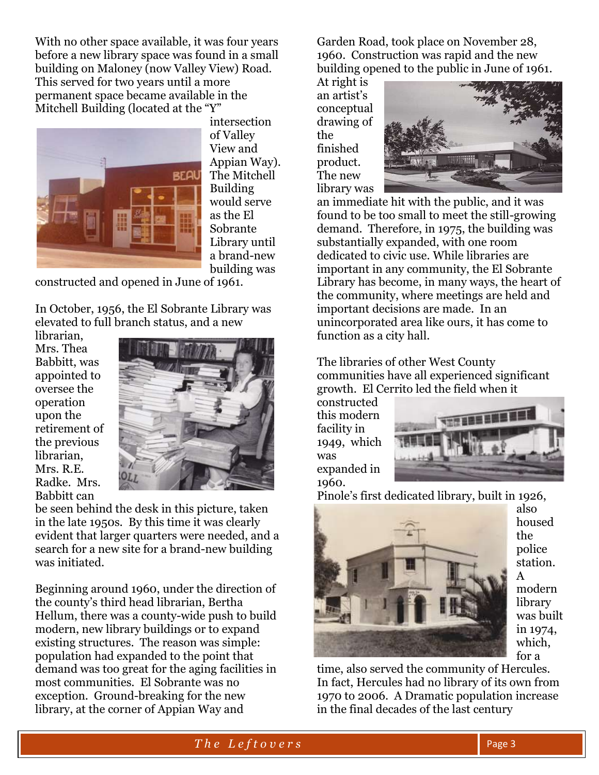With no other space available, it was four years before a new library space was found in a small building on Maloney (now Valley View) Road. This served for two years until a more permanent space became available in the Mitchell Building (located at the "Y"



intersection of Valley View and Appian Way). The Mitchell Building would serve as the El Sobrante Library until a brand-new building was

constructed and opened in June of 1961.

In October, 1956, the El Sobrante Library was elevated to full branch status, and a new

librarian, Mrs. Thea Babbitt, was appointed to oversee the operation upon the retirement of the previous librarian, Mrs. R.E. Radke. Mrs. Babbitt can



be seen behind the desk in this picture, taken in the late 1950s. By this time it was clearly evident that larger quarters were needed, and a search for a new site for a brand-new building was initiated.

Beginning around 1960, under the direction of the county's third head librarian, Bertha Hellum, there was a county-wide push to build modern, new library buildings or to expand existing structures. The reason was simple: population had expanded to the point that demand was too great for the aging facilities in most communities. El Sobrante was no exception. Ground-breaking for the new library, at the corner of Appian Way and

Garden Road, took place on November 28, 1960. Construction was rapid and the new building opened to the public in June of 1961.

At right is an artist's conceptual drawing of the finished product. The new library was



an immediate hit with the public, and it was found to be too small to meet the still-growing demand. Therefore, in 1975, the building was substantially expanded, with one room dedicated to civic use. While libraries are important in any community, the El Sobrante Library has become, in many ways, the heart of the community, where meetings are held and important decisions are made. In an unincorporated area like ours, it has come to function as a city hall.

The libraries of other West County communities have all experienced significant growth. El Cerrito led the field when it

constructed this modern facility in 1949, which was expanded in 1960.



Pinole's first dedicated library, built in 1926,



also housed the police station. A modern library was built in 1974, which, for a

time, also served the community of Hercules. In fact, Hercules had no library of its own from 1970 to 2006. A Dramatic population increase in the final decades of the last century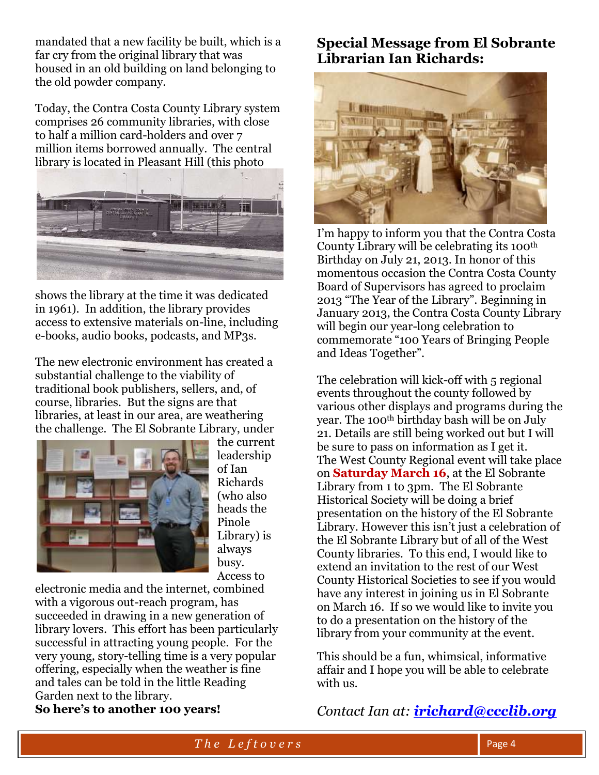mandated that a new facility be built, which is a far cry from the original library that was housed in an old building on land belonging to the old powder company.

Today, the Contra Costa County Library system comprises 26 community libraries, with close to half a million card-holders and over 7 million items borrowed annually. The central library is located in Pleasant Hill (this photo



shows the library at the time it was dedicated in 1961). In addition, the library provides access to extensive materials on-line, including e-books, audio books, podcasts, and MP3s.

The new electronic environment has created a substantial challenge to the viability of traditional book publishers, sellers, and, of course, libraries. But the signs are that libraries, at least in our area, are weathering the challenge. The El Sobrante Library, under



the current leadership of Ian Richards (who also heads the Pinole Library) is always busy. Access to

electronic media and the internet, combined with a vigorous out-reach program, has succeeded in drawing in a new generation of library lovers. This effort has been particularly successful in attracting young people. For the very young, story-telling time is a very popular offering, especially when the weather is fine and tales can be told in the little Reading Garden next to the library. **So here's to another 100 years!**

## **Special Message from El Sobrante Librarian Ian Richards:**



I'm happy to inform you that the Contra Costa County Library will be celebrating its 100th Birthday on July 21, 2013. In honor of this momentous occasion the Contra Costa County Board of Supervisors has agreed to proclaim 2013 "The Year of the Library". Beginning in January 2013, the Contra Costa County Library will begin our year-long celebration to commemorate "100 Years of Bringing People and Ideas Together".

The celebration will kick-off with 5 regional events throughout the county followed by various other displays and programs during the year. The 100th birthday bash will be on July 21. Details are still being worked out but I will be sure to pass on information as I get it. The West County Regional event will take place on **Saturday March 16**, at the El Sobrante Library from 1 to 3pm. The El Sobrante Historical Society will be doing a brief presentation on the history of the El Sobrante Library. However this isn't just a celebration of the El Sobrante Library but of all of the West County libraries. To this end, I would like to extend an invitation to the rest of our West County Historical Societies to see if you would have any interest in joining us in El Sobrante on March 16. If so we would like to invite you to do a presentation on the history of the library from your community at the event.

This should be a fun, whimsical, informative affair and I hope you will be able to celebrate with us.

*Contact Ian at: [irichard@ccclib.org](mailto:irichard@ccclib.org)*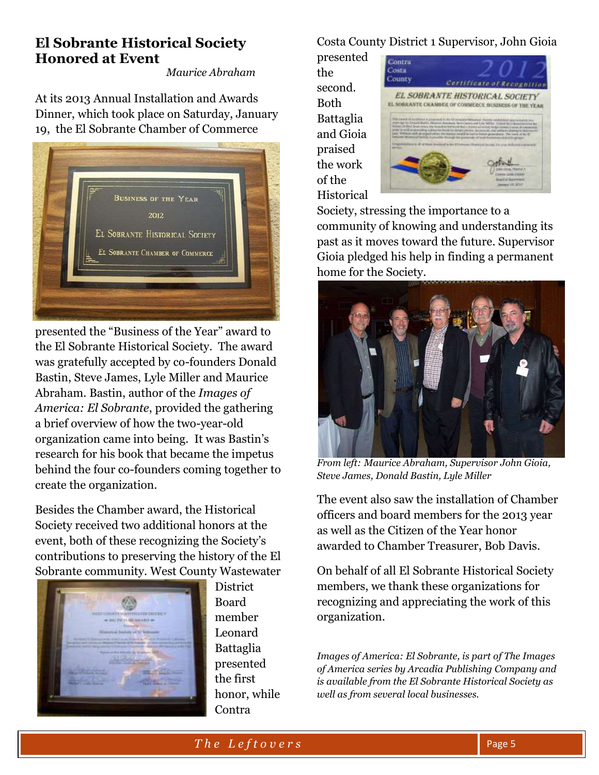## **El Sobrante Historical Society Honored at Event**

*Maurice Abraham*

At its 2013 Annual Installation and Awards Dinner, which took place on Saturday, January 19, the El Sobrante Chamber of Commerce



presented the "Business of the Year" award to the El Sobrante Historical Society. The award was gratefully accepted by co-founders Donald Bastin, Steve James, Lyle Miller and Maurice Abraham. Bastin, author of the *Images of America: El Sobrante*, provided the gathering a brief overview of how the two-year-old organization came into being. It was Bastin's research for his book that became the impetus behind the four co-founders coming together to create the organization.

Besides the Chamber award, the Historical Society received two additional honors at the event, both of these recognizing the Society's contributions to preserving the history of the El Sobrante community. West County Wastewater



**District** Board member Leonard Battaglia presented the first honor, while Contra

### Costa County District 1 Supervisor, John Gioia

presented the second. Both Battaglia and Gioia praised the work of the Historical



Society, stressing the importance to a community of knowing and understanding its past as it moves toward the future. Supervisor Gioia pledged his help in finding a permanent home for the Society.



*From left: Maurice Abraham, Supervisor John Gioia, Steve James, Donald Bastin, Lyle Miller*

The event also saw the installation of Chamber officers and board members for the 2013 year as well as the Citizen of the Year honor awarded to Chamber Treasurer, Bob Davis.

On behalf of all El Sobrante Historical Society members, we thank these organizations for recognizing and appreciating the work of this organization.

*Images of America: El Sobrante, is part of The Images of America series by Arcadia Publishing Company and is available from the El Sobrante Historical Society as well as from several local businesses.*